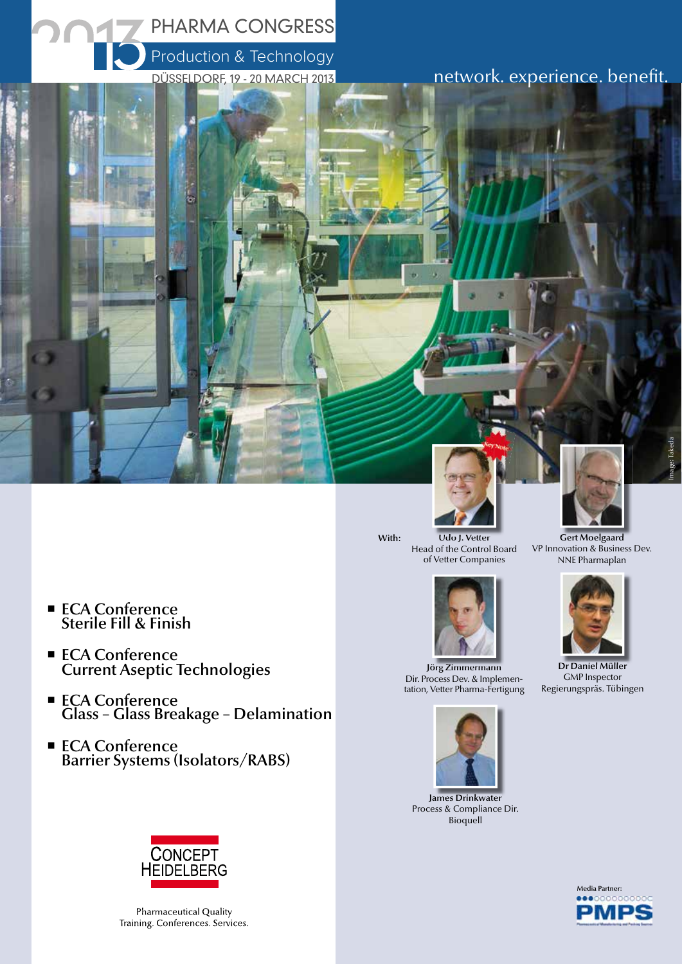

- ECA Conference Sterile Fill & Finish
- ECA Conference Current Aseptic Technologies
- ECA Conference Glass – Glass Breakage – Delamination
- ECA Conference Barrier Systems (Isolators/RABS)





Gert Moelgaard VP Innovation & Business Dev. NNE Pharmaplan



Dr Daniel Müller GMP Inspector Regierungspräs. Tübingen



With:



Jörg Zimmermann Dir. Process Dev. & Implementation, Vetter Pharma-Fertigung



James Drinkwater Process & Compliance Dir. **Bioquell** 



Pharmaceutical Quality Training. Conferences. Services.

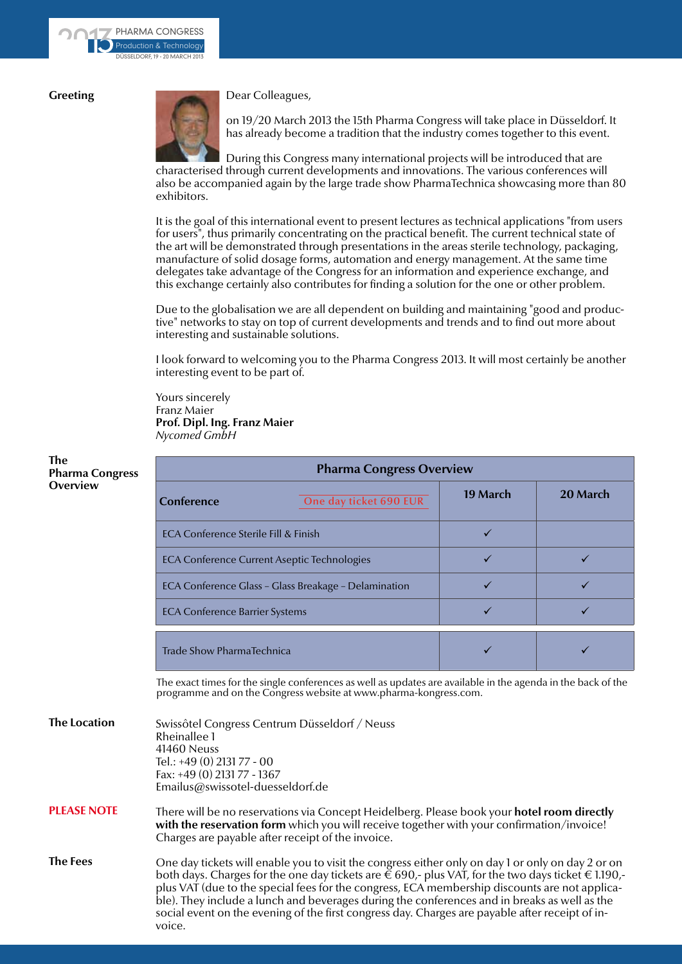## **Greeting**



Dear Colleagues,

on 19/20 March 2013 the 15th Pharma Congress will take place in Düsseldorf. It has already become a tradition that the industry comes together to this event.

During this Congress many international projects will be introduced that are characterised through current developments and innovations. The various conferences will also be accompanied again by the large trade show PharmaTechnica showcasing more than 80 exhibitors.

It is the goal of this international event to present lectures as technical applications "from users for users", thus primarily concentrating on the practical benefit. The current technical state of the art will be demonstrated through presentations in the areas sterile technology, packaging, manufacture of solid dosage forms, automation and energy management. At the same time delegates take advantage of the Congress for an information and experience exchange, and this exchange certainly also contributes for finding a solution for the one or other problem.

Due to the globalisation we are all dependent on building and maintaining "good and productive" networks to stay on top of current developments and trends and to find out more about interesting and sustainable solutions.

I look forward to welcoming you to the Pharma Congress 2013. It will most certainly be another interesting event to be part of.

Yours sincerely Franz Maier **Prof. Dipl. Ing. Franz Maier** *Nycomed GmbH*

| <b>Pharma Congress Overview</b>                      |                        |          |          |  |  |
|------------------------------------------------------|------------------------|----------|----------|--|--|
| Conference                                           | One day ticket 690 EUR | 19 March | 20 March |  |  |
| ECA Conference Sterile Fill & Finish                 |                        |          |          |  |  |
| ECA Conference Current Aseptic Technologies          |                        |          |          |  |  |
| ECA Conference Glass - Glass Breakage - Delamination |                        |          |          |  |  |
| <b>ECA Conference Barrier Systems</b>                |                        |          |          |  |  |
| Trade Show PharmaTechnica                            |                        |          |          |  |  |

The exact times for the single conferences as well as updates are available in the agenda in the back of the programme and on the Congress website at www.pharma-kongress.com.

| <b>The Location</b> | Swissôtel Congress Centrum Düsseldorf / Neuss<br>Rheinallee 1<br>41460 Neuss<br>Tel.: +49 (0) 2131 77 - 00<br>Fax: +49 (0) 2131 77 - 1367<br>Emailus@swissotel-duesseldorf.de                                                                                                                                                                                                                                                                                                                                                                   |
|---------------------|-------------------------------------------------------------------------------------------------------------------------------------------------------------------------------------------------------------------------------------------------------------------------------------------------------------------------------------------------------------------------------------------------------------------------------------------------------------------------------------------------------------------------------------------------|
| <b>PLEASE NOTE</b>  | There will be no reservations via Concept Heidelberg. Please book your hotel room directly<br>with the reservation form which you will receive together with your confirmation/invoice!<br>Charges are payable after receipt of the invoice.                                                                                                                                                                                                                                                                                                    |
| <b>The Fees</b>     | One day tickets will enable you to visit the congress either only on day 1 or only on day 2 or on<br>both days. Charges for the one day tickets are $\check{\epsilon}$ 690,- plus VAT, for the two days ticket $\epsilon$ 1.190,-<br>plus VAT (due to the special fees for the congress, ECA membership discounts are not applica-<br>ble). They include a lunch and beverages during the conferences and in breaks as well as the<br>social event on the evening of the first congress day. Charges are payable after receipt of in-<br>voice. |

#### **The Pharma Congress Overview**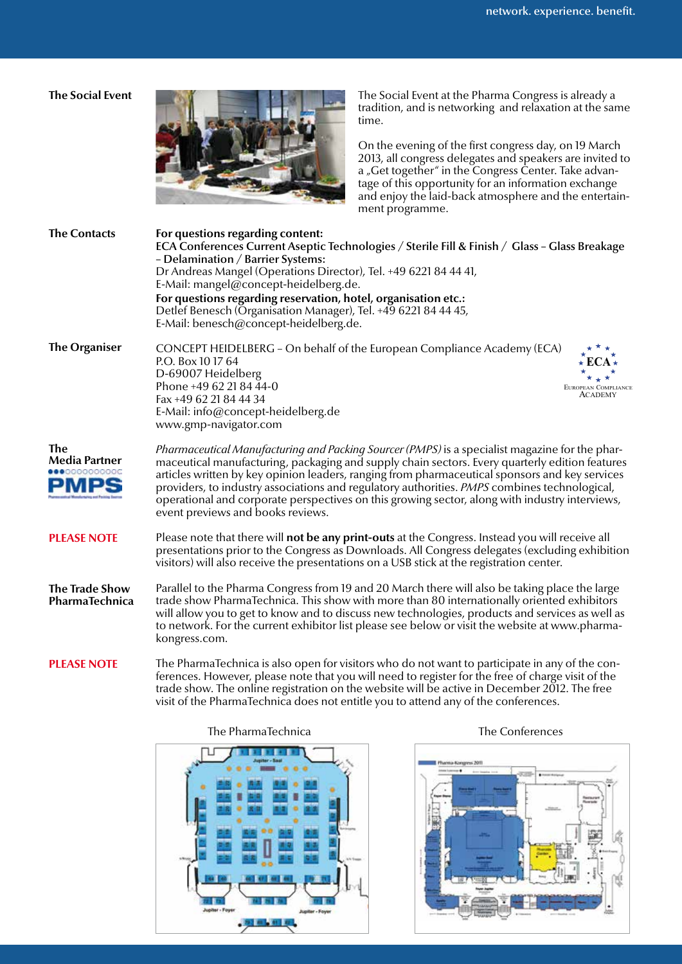## **The Social Event**



The Social Event at the Pharma Congress is already a tradition, and is networking and relaxation at the same time.

On the evening of the first congress day, on 19 March 2013, all congress delegates and speakers are invited to a "Get together" in the Congress Center. Take advantage of this opportunity for an information exchange and enjoy the laid-back atmosphere and the entertainment programme.

| <b>The Contacts</b>                              | For questions regarding content:<br>ECA Conferences Current Aseptic Technologies / Sterile Fill & Finish / Glass - Glass Breakage<br>- Delamination / Barrier Systems:<br>Dr Andreas Mangel (Operations Director), Tel. +49 6221 84 44 41,<br>E-Mail: mangel@concept-heidelberg.de.<br>For questions regarding reservation, hotel, organisation etc.:<br>Detlef Benesch (Organisation Manager), Tel. +49 6221 84 44 45,<br>E-Mail: benesch@concept-heidelberg.de.                                                                                |  |  |
|--------------------------------------------------|--------------------------------------------------------------------------------------------------------------------------------------------------------------------------------------------------------------------------------------------------------------------------------------------------------------------------------------------------------------------------------------------------------------------------------------------------------------------------------------------------------------------------------------------------|--|--|
| <b>The Organiser</b>                             | CONCEPT HEIDELBERG - On behalf of the European Compliance Academy (ECA)<br>P.O. Box 10 17 64<br>D-69007 Heidelberg<br>Phone +49 62 21 84 44-0<br>EUROPEAN COMPLIANCE<br>ACADEMY<br>Fax +49 62 21 84 44 34<br>E-Mail: info@concept-heidelberg.de<br>www.gmp-navigator.com                                                                                                                                                                                                                                                                         |  |  |
| The<br><b>Media Partner</b><br>000000000<br>PMPS | Pharmaceutical Manufacturing and Packing Sourcer (PMPS) is a specialist magazine for the phar-<br>maceutical manufacturing, packaging and supply chain sectors. Every quarterly edition features<br>articles written by key opinion leaders, ranging from pharmaceutical sponsors and key services<br>providers, to industry associations and regulatory authorities. <i>PMPS</i> combines technological,<br>operational and corporate perspectives on this growing sector, along with industry interviews,<br>event previews and books reviews. |  |  |
| <b>PLEASE NOTE</b>                               | Please note that there will not be any print-outs at the Congress. Instead you will receive all<br>presentations prior to the Congress as Downloads. All Congress delegates (excluding exhibition<br>visitors) will also receive the presentations on a USB stick at the registration center.                                                                                                                                                                                                                                                    |  |  |
| <b>The Trade Show</b><br>PharmaTechnica          | Parallel to the Pharma Congress from 19 and 20 March there will also be taking place the large<br>trade show PharmaTechnica. This show with more than 80 internationally oriented exhibitors<br>will allow you to get to know and to discuss new technologies, products and services as well as<br>to network. For the current exhibitor list please see below or visit the website at www.pharma-<br>kongress.com.                                                                                                                              |  |  |
| <b>PLEASE NOTE</b>                               | The PharmaTechnica is also open for visitors who do not want to participate in any of the con-<br>ferences. However, please note that you will need to register for the free of charge visit of the<br>trade show. The online registration on the website will be active in December 2012. The free<br>visit of the PharmaTechnica does not entitle you to attend any of the conferences.                                                                                                                                                        |  |  |

The PharmaTechnica The Conferences





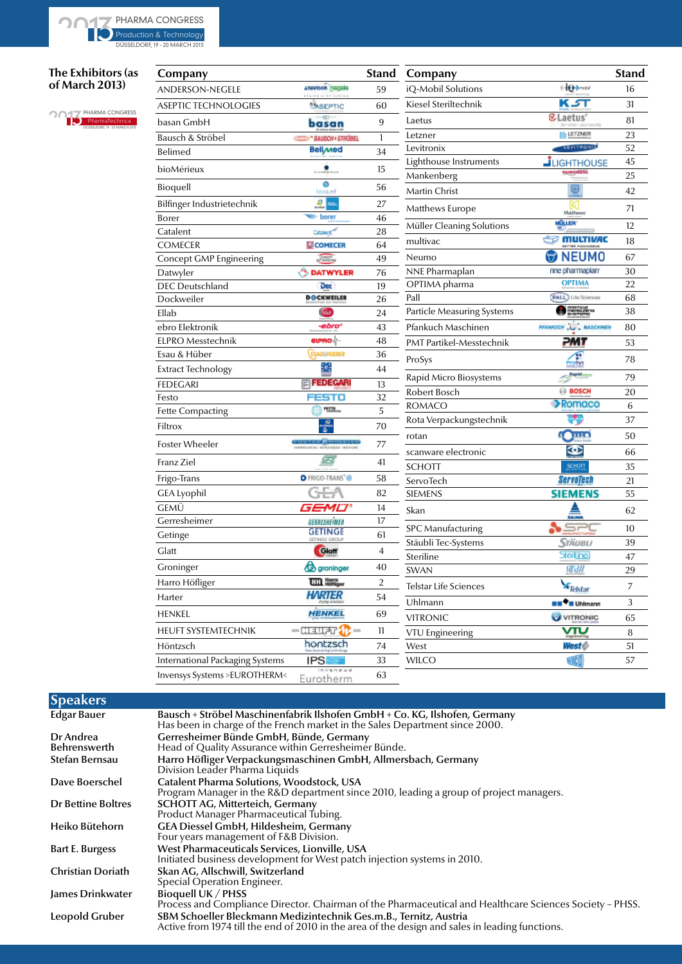DÜSSELDORF, 19 - 20 MARCH 2013

## **The Exhibitors (as**

**of March 2013)**

PHARMA CONGRESS PharmaTechnica<br>DÜSSELDORF, 19 - 20 MARCH 2013

| Company                                |                                                                            | <b>Stand</b>   | Company                    |                                          | <b>Stand</b> |
|----------------------------------------|----------------------------------------------------------------------------|----------------|----------------------------|------------------------------------------|--------------|
| ANDERSON-NEGELE                        | anasson negela                                                             | 59             | iQ-Mobil Solutions         | <del>⊲io→</del>                          | 16           |
| <b>ASEPTIC TECHNOLOGIES</b>            | <b>ASEPTIC</b>                                                             | 60             | Kiesel Steriltechnik       | K.ST                                     | 31           |
| basan GmbH                             | -SED<br>basan                                                              | 9              | Laetus                     | <b></b> CLaetus'                         | 81           |
| Bausch & Ströbel                       | <b>BAUSCH + STRÖBEL</b>                                                    | 1              | Letzner                    | <b>ILL LETZNER</b>                       | 23           |
| Belimed                                | <b>Belimed</b>                                                             | 34             | Levitronix                 | <b>LEVITRONIA</b>                        | 52           |
| bioMérieux                             | \$                                                                         | 15             | Lighthouse Instruments     | <b>J</b> LIGHTHOUSE                      | 45           |
|                                        | ۵                                                                          |                | Mankenberg                 | <b>MANKENDERS</b>                        | 25           |
| Bioquell                               | boquel                                                                     | 56             | Martin Christ              |                                          | 42           |
| Bilfinger Industrietechnik             | R                                                                          | 27             | Matthews Europe            | Matthews                                 | 71           |
| Borer                                  | borer                                                                      | 46             | Müller Cleaning Solutions  | MÜLLER                                   | 12           |
| Catalent<br><b>COMECER</b>             | Catalent <sup>27</sup><br><b>COMECER</b>                                   | 28<br>64       | multivac                   | <b>ES MULTIVAC</b>                       | 18           |
| Concept GMP Engineering                | <b>SONET</b>                                                               | 49             | Neumo                      | <b>KITTER PAGINAGE</b><br><b>O</b> NEUMO | 67           |
| Datwyler                               | <b>DATWYLER</b>                                                            | 76             | NNE Pharmaplan             | nne pharmaplan <sup>.</sup>              | 30           |
| <b>DEC</b> Deutschland                 | Dec                                                                        | 19             | OPTIMA pharma              | <b>OPTIMA</b>                            | 22           |
| Dockweiler                             | <b>DOCKWEILER</b>                                                          | 26             | Pall                       | (PALL) Life Sciences                     | 68           |
| Ellab                                  | Makai                                                                      | 24             | Particle Measuring Systems | <b>CONTROL</b>                           | 38           |
| ebro Elektronik                        | -ebro"                                                                     | 43             | Pfankuch Maschinen         | PFANKUCH IS MASCHINEN                    | 80           |
| <b>ELPRO Messtechnik</b>               | EIPRO <b>.</b>                                                             | 48             | PMT Partikel-Messtechnik   | . MI                                     | 53           |
| Esau & Hüber                           | ESAUMHUEBER                                                                | 36             | ProSys                     |                                          | 78           |
| Extract Technology                     | Şéç                                                                        | 44             |                            | <b>hrosys</b><br><b>Repidences</b>       |              |
| <b>FEDEGARI</b>                        | <b>FEDEGARI</b>                                                            | 13             | Rapid Micro Biosystems     |                                          | 79           |
| Festo                                  | FESTO                                                                      | 32             | Robert Bosch               | <b>BOSCH</b>                             | 20           |
| <b>Fette Compacting</b>                | <b>FETTE</b>                                                               | 5              | ROMACO                     | Romaco                                   | 6            |
| Filtrox                                |                                                                            | 70             | Rota Verpackungstechnik    | ٣                                        | 37           |
| Foster Wheeler                         | <b>CARD ARTISTS AND IN THE 20</b><br>MANUFACTURE - WEITSCHREDOOF - MAJNAME | 77             | rotan                      | <b>Chan</b>                              | 50           |
| Franz Ziel                             | æ                                                                          | 41             | scanware electronic        | จ<br>SCHOTT                              | 66           |
| Frigo-Trans                            | O FRIGO-TRANS <sup>®</sup>                                                 | 58             | <b>SCHOTT</b><br>ServoTech | <b>Servatech</b>                         | 35<br>21     |
| <b>GEA Lyophil</b>                     |                                                                            | 82             | <b>SIEMENS</b>             | <b>SIEMENS</b>                           | 55           |
| GEMÜ                                   | GEMU®                                                                      | 14             | Skan                       |                                          | 62           |
| Gerresheimer                           | GERRESHEIMER                                                               | 17             |                            |                                          |              |
| Getinge                                | GETINGE                                                                    | 61             | <b>SPC</b> Manufacturing   | $S = PC$                                 | 10           |
| Glatt                                  | Glatt                                                                      | $\overline{4}$ | Stäubli Tec-Systems        | Stäubu                                   | 39           |
| Groninger                              | <b>B</b> groninger                                                         | 40             | Steriline                  | Sterline                                 | 47           |
| Harro Höfliger                         | <b>ULL Rotsger</b>                                                         | 2              | <b>SWAN</b>                | sttan                                    | 29           |
| Harter                                 | <b>HARTER</b>                                                              | 54             | Telstar Life Sciences      | Telstar                                  | 7            |
|                                        | <b>HENKEL</b>                                                              |                | Uhlmann                    | <b>EE<sup>Q</sup>E Uhimann</b>           | 3            |
| <b>HENKEL</b>                          |                                                                            | 69             | <b>VITRONIC</b>            | VITRONIC                                 | 65           |
| HEUFT SYSTEMTECHNIK                    | – 930ar <mark>17</mark> –                                                  | 11             | VTU Engineering            | vπu                                      | 8            |
| Höntzsch                               | hontzsch                                                                   | 74             | West                       | West                                     | 51           |
| <b>International Packaging Systems</b> | IPS <b>All</b><br>nvensve                                                  | 33             | <b>WILCO</b>               | vi CO                                    | 57           |
| Invensys Systems > EUROTHERM<          | Eurotherm                                                                  | 63             |                            |                                          |              |

## **Speakers**

| <b>Edgar Bauer</b>        | Bausch + Ströbel Maschinenfabrik Ilshofen GmbH + Co. KG, Ilshofen, Germany                                                                                           |
|---------------------------|----------------------------------------------------------------------------------------------------------------------------------------------------------------------|
|                           | Has been in charge of the French market in the Sales Department since 2000.                                                                                          |
| Dr Andrea                 | Gerresheimer Bünde GmbH, Bünde, Germany                                                                                                                              |
| <b>Behrenswerth</b>       | Head of Quality Assurance within Gerresheimer Bünde.                                                                                                                 |
| Stefan Bernsau            | Harro Höfliger Verpackungsmaschinen GmbH, Allmersbach, Germany<br>Division Leader Pharma Liquids                                                                     |
| Dave Boerschel            | <b>Catalent Pharma Solutions, Woodstock, USA</b><br>Program Manager in the R&D department since 2010, leading a group of project managers.                           |
| <b>Dr Bettine Boltres</b> | <b>SCHOTT AG, Mitterteich, Germany</b><br>Product Manager Pharmaceutical Tubing.                                                                                     |
| Heiko Bütehorn            | GEA Diessel GmbH, Hildesheim, Germany<br>Four years management of F&B Division.                                                                                      |
| Bart E. Burgess           | West Pharmaceuticals Services, Lionville, USA<br>Initiated business development for West patch injection systems in 2010.                                            |
| <b>Christian Doriath</b>  | Skan AG, Allschwill, Switzerland<br>Special Operation Engineer.                                                                                                      |
| James Drinkwater          | <b>Bioquell UK / PHSS</b><br>Process and Compliance Director. Chairman of the Pharmaceutical and Healthcare Sciences Society - PHSS.                                 |
| Leopold Gruber            | SBM Schoeller Bleckmann Medizintechnik Ges.m.B., Ternitz, Austria<br>Active from 1974 till the end of 2010 in the area of the design and sales in leading functions. |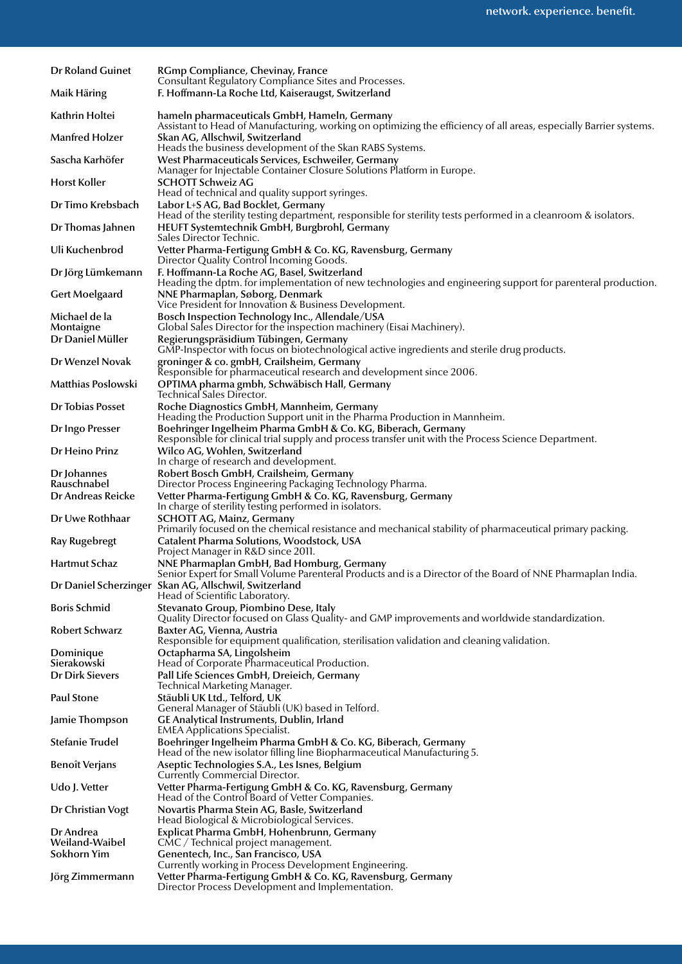| <b>Dr Roland Guinet</b>          | RGmp Compliance, Chevinay, France                                                                                                                                                 |
|----------------------------------|-----------------------------------------------------------------------------------------------------------------------------------------------------------------------------------|
| Maik Häring                      | Consultant Regulatory Compliance Sites and Processes.<br>F. Hoffmann-La Roche Ltd, Kaiseraugst, Switzerland                                                                       |
| Kathrin Holtei                   | hameln pharmaceuticals GmbH, Hameln, Germany<br>Assistant to Head of Manufacturing, working on optimizing the efficiency of all areas, especially Barrier systems.                |
| <b>Manfred Holzer</b>            | Skan AG, Allschwil, Switzerland<br>Heads the business development of the Skan RABS Systems.                                                                                       |
| Sascha Karhöfer                  | West Pharmaceuticals Services, Eschweiler, Germany<br>Manager for Injectable Container Closure Solutions Platform in Europe.                                                      |
| <b>Horst Koller</b>              | SCHOTT Schweiz AG<br>Head of technical and quality support syringes.                                                                                                              |
| Dr Timo Krebsbach                | Labor L+S AG, Bad Bocklet, Germany<br>Head of the sterility testing department, responsible for sterility tests performed in a cleanroom & isolators.                             |
| Dr Thomas Jahnen                 | HEUFT Systemtechnik GmbH, Burgbrohl, Germany<br>Sales Director Technic.                                                                                                           |
| Uli Kuchenbrod                   | Vetter Pharma-Fertigung GmbH & Co. KG, Ravensburg, Germany<br>Director Quality Control Incoming Goods.                                                                            |
| Dr Jörg Lümkemann                | F. Hoffmann-La Roche AG, Basel, Switzerland<br>Heading the dptm. for implementation of new technologies and engineering support for parenteral production.                        |
| <b>Gert Moelgaard</b>            | NNE Pharmaplan, Søborg, Denmark<br>Vice President for Innovation & Business Development.                                                                                          |
| Michael de la<br>Montaigne       | Bosch Inspection Technology Inc., Allendale/USA<br>Global Sales Director for the inspection machinery (Eisai Machinery).                                                          |
| Dr Daniel Müller                 | Regierungspräsidium Tübingen, Germany<br>GMP-Inspector with focus on biotechnological active ingredients and sterile drug products.                                               |
| Dr Wenzel Novak                  | groninger & co. gmbH, Crailsheim, Germany<br>Responsible for pharmaceutical research and development since 2006.                                                                  |
| Matthias Poslowski               | OPTIMA pharma gmbh, Schwäbisch Hall, Germany<br>Technical Sales Director.                                                                                                         |
| Dr Tobias Posset                 | Roche Diagnostics GmbH, Mannheim, Germany<br>Heading the Production Support unit in the Pharma Production in Mannheim.                                                            |
| Dr Ingo Presser                  | Boehringer Ingelheim Pharma GmbH & Co. KG, Biberach, Germany<br>Responsible for clinical trial supply and process transfer unit with the Process Science Department.              |
| Dr Heino Prinz                   | Wilco AG, Wohlen, Switzerland<br>In charge of research and development.                                                                                                           |
| Dr Johannes                      | Robert Bosch GmbH, Crailsheim, Germany                                                                                                                                            |
| Rauschnabel<br>Dr Andreas Reicke | Director Process Engineering Packaging Technology Pharma.<br>Vetter Pharma-Fertigung GmbH & Co. KG, Ravensburg, Germany<br>In charge of sterility testing performed in isolators. |
| Dr Uwe Rothhaar                  | <b>SCHOTT AG, Mainz, Germany</b><br>Primarily focused on the chemical resistance and mechanical stability of pharmaceutical primary packing.                                      |
| <b>Ray Rugebregt</b>             | Catalent Pharma Solutions, Woodstock, USA                                                                                                                                         |
| <b>Hartmut Schaz</b>             | Project Manager in R&D since 2011.<br>NNE Pharmaplan GmbH, Bad Homburg, Germany                                                                                                   |
|                                  | Senior Expert for Small Volume Parenteral Products and is a Director of the Board of NNE Pharmaplan India.<br>Dr Daniel Scherzinger Skan AG, Allschwil, Switzerland               |
| <b>Boris Schmid</b>              | Head of Scientific Laboratory.<br>Stevanato Group, Piombino Dese, Italy                                                                                                           |
| <b>Robert Schwarz</b>            | Quality Director focused on Glass Quality- and GMP improvements and worldwide standardization.<br>Baxter AG, Vienna, Austria                                                      |
| Dominique                        | Responsible for equipment qualification, sterilisation validation and cleaning validation.<br>Octapharma SA, Lingolsheim                                                          |
| Sierakowski                      | Head of Corporate Pharmaceutical Production.                                                                                                                                      |
| <b>Dr Dirk Sievers</b>           | Pall Life Sciences GmbH, Dreieich, Germany<br>Technical Marketing Manager.                                                                                                        |
| <b>Paul Stone</b>                | Stäubli UK Ltd., Telford, UK<br>General Manager of Stäubli (UK) based in Telford.                                                                                                 |
| Jamie Thompson                   | GE Analytical Instruments, Dublin, Irland<br><b>EMEA Applications Specialist.</b>                                                                                                 |
| Stefanie Trudel                  | Boehringer Ingelheim Pharma GmbH & Co. KG, Biberach, Germany<br>Head of the new isolator filling line Biopharmaceutical Manufacturing 5.                                          |
| <b>Benoît Verjans</b>            | Aseptic Technologies S.A., Les Isnes, Belgium<br>Currently Commercial Director.                                                                                                   |
| Udo J. Vetter                    | Vetter Pharma-Fertigung GmbH & Co. KG, Ravensburg, Germany<br>Head of the Control Board of Vetter Companies.                                                                      |
| Dr Christian Vogt                | Novartis Pharma Stein AG, Basle, Switzerland<br>Head Biological & Microbiological Services.                                                                                       |
| Dr Andrea<br>Weiland-Waibel      | Explicat Pharma GmbH, Hohenbrunn, Germany<br>CMC / Technical project management.                                                                                                  |
| Sokhorn Yim                      | Genentech, Inc., San Francisco, USA                                                                                                                                               |
| Jörg Zimmermann                  | Currently working in Process Development Engineering.<br>Vetter Pharma-Fertigung GmbH & Co. KG, Ravensburg, Germany<br>Director Process Development and Implementation.           |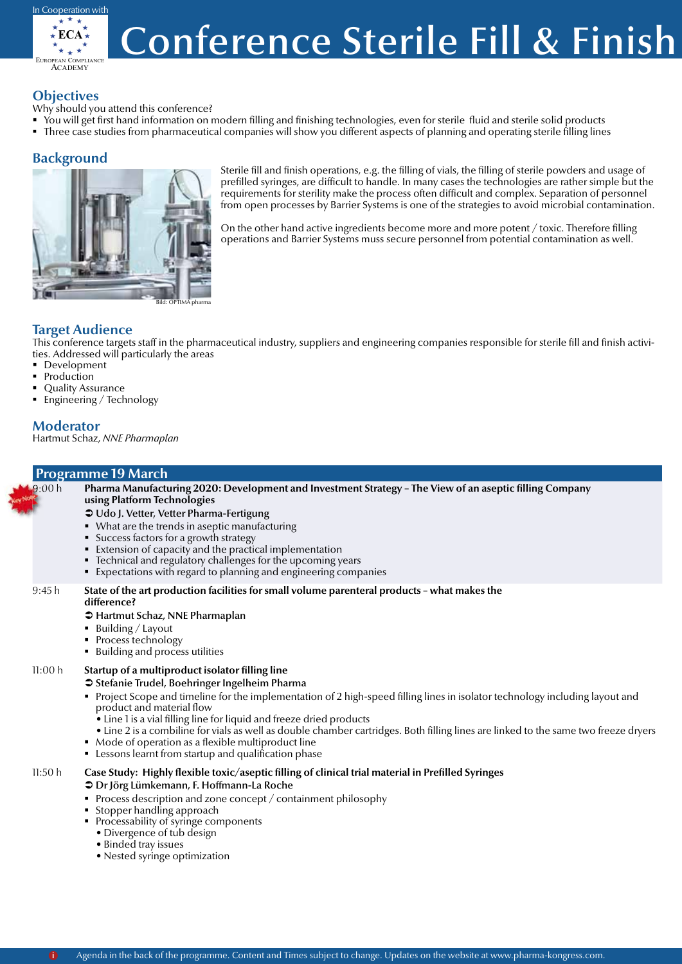

## **Conference Sterile Fill & Finish**

## **Objectives**

Why should you attend this conference?

- You will get first hand information on modern filling and finishing technologies, even for sterile fluid and sterile solid products
- Three case studies from pharmaceutical companies will show you different aspects of planning and operating sterile filling lines

## **Background**



Sterile fill and finish operations, e.g. the filling of vials, the filling of sterile powders and usage of prefilled syringes, are difficult to handle. In many cases the technologies are rather simple but the requirements for sterility make the process often difficult and complex. Separation of personnel from open processes by Barrier Systems is one of the strategies to avoid microbial contamination.

On the other hand active ingredients become more and more potent  $/$  toxic. Therefore filling operations and Barrier Systems muss secure personnel from potential contamination as well.

## **Target Audience**

This conference targets staff in the pharmaceutical industry, suppliers and engineering companies responsible for sterile fill and finish activities. Addressed will particularly the areas

- **Development**
- Production
- Quality Assurance
- Engineering / Technology

## **Moderator**

Hartmut Schaz, *NNE Pharmaplan*

### **Programme 19 March** Pharma Manufacturing 2020: Development and Investment Strategy - The View of an aseptic filling Company **using Platform Technologies** Â Udo J. Vetter, Vetter Pharma-Fertigung What are the trends in aseptic manufacturing **Success factors for a growth strategy** Extension of capacity and the practical implementation Technical and regulatory challenges for the upcoming years Expectations with regard to planning and engineering companies 9:45 h **State of the art production facilities for small volume parenteral products – what makes the difference?** Â Hartmut Schaz, NNE Pharmaplan  $\blacksquare$  Building / Layout • Process technology ■ Building and process utilities 11:00 h **Startup of a multiproduct isolator filling line** Â Stefanie Trudel, Boehringer Ingelheim Pharma Project Scope and timeline for the implementation of 2 high-speed filling lines in isolator technology including layout and product and material flow  $\bullet$  Line 1 is a vial filling line for liquid and freeze dried products • Line 2 is a combiline for vials as well as double chamber cartridges. Both filling lines are linked to the same two freeze dryers • Mode of operation as a flexible multiproduct line **EXECT** Lessons learnt from startup and qualification phase 11:50 h **Case Study: Highly flexible toxic/aseptic filling of clinical trial material in Prefilled Syringes** Â Dr Jörg Lümkemann, F. Hoffmann-La Roche  $9:00 h$

- **Process description and zone concept / containment philosophy**
- Stopper handling approach
- Processability of syringe components
- Divergence of tub design
- Binded tray issues
- Nested syringe optimization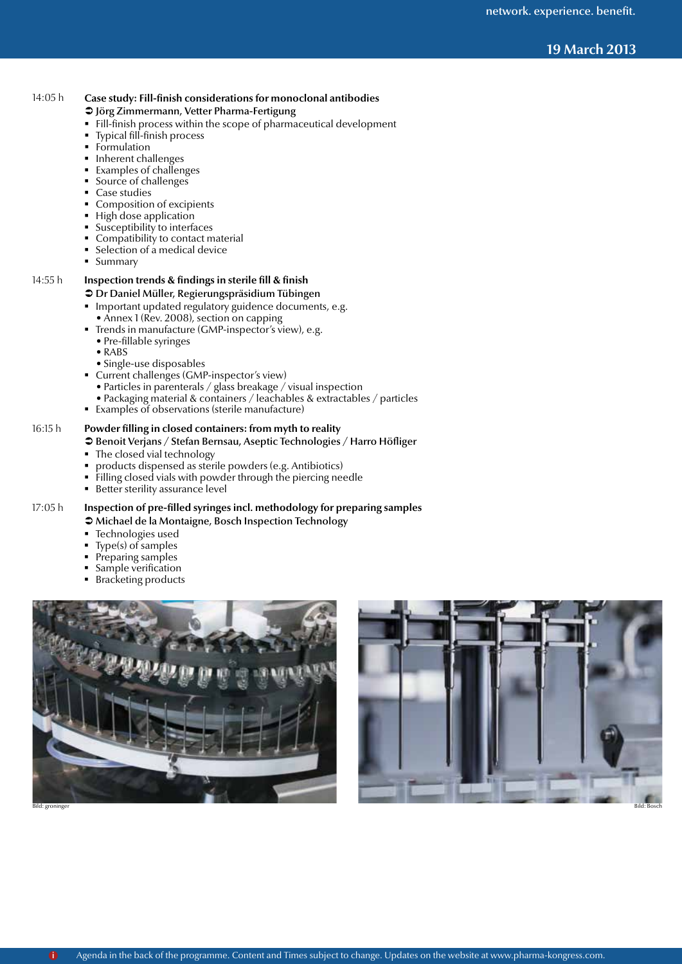## Conference Sterile Fill & Finish **19 March 2013**

### 14:05 h **Case study: Fill-finish considerations for monoclonal antibodies**

#### Â Jörg Zimmermann, Vetter Pharma-Fertigung

- Fill-finish process within the scope of pharmaceutical development
- Typical fill-finish process
- Formulation
- Inherent challenges
- Examples of challenges
- Source of challenges
- Case studies
- Composition of excipients
- **High dose application**
- Susceptibility to interfaces
- Compatibility to contact material
- Selection of a medical device
- **Summary**

## 14:55 h **Inspection trends & findings in sterile fill & finish**

### $\supset$  Dr Daniel Müller, Regierungspräsidium Tübingen

- **Important updated regulatory guidence documents, e.g.**
- Annex 1 (Rev. 2008), section on capping
- Trends in manufacture (GMP-inspector's view), e.g.
- Pre-fillable syringes
- RABS
- Single-use disposables
- **Current challenges (GMP-inspector's view)** 
	- Particles in parenterals / glass breakage / visual inspection
	- Packaging material & containers / leachables & extractables / particles
- Examples of observations (sterile manufacture)

#### 16:15 h **Powder filling in closed containers: from myth to reality**

- Â Benoit Verjans / Stefan Bernsau, Aseptic Technologies / Harro Höfliger
- The closed vial technology
- products dispensed as sterile powders (e.g. Antibiotics)
- Filling closed vials with powder through the piercing needle
- **Better sterility assurance level**

## 17:05 h **Inspection of pre-filled syringes incl. methodology for preparing samples**

- $\supset$  Michael de la Montaigne, Bosch Inspection Technology
- Technologies used
- Type(s) of samples
- Preparing samples
- Sample verification
- Bracketing products



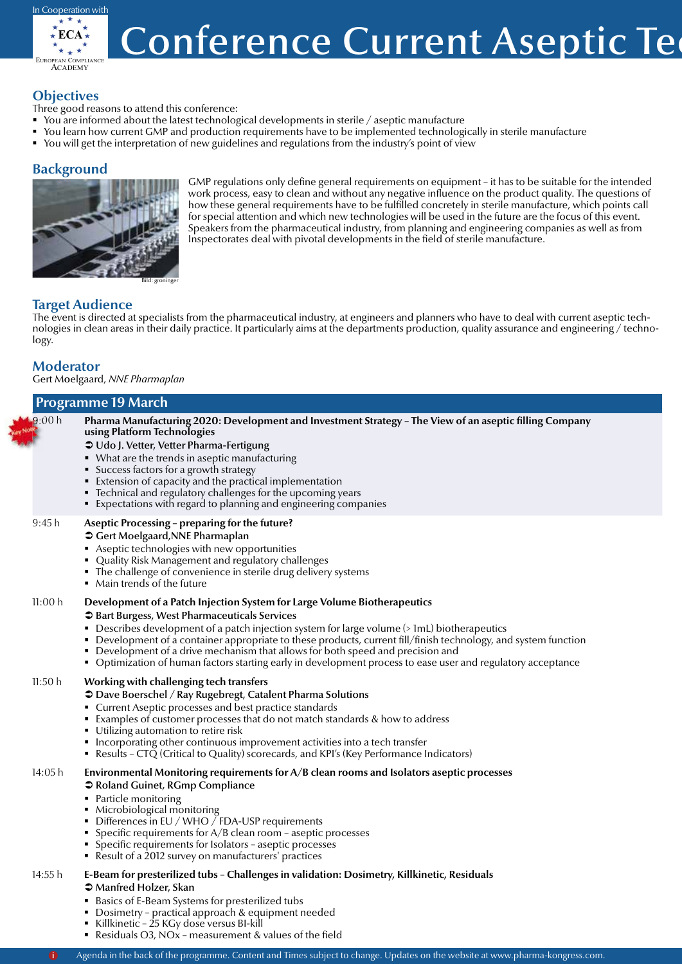

## **Conference Current Aseptic Tequare 19**

## **Objectives**

- Three good reasons to attend this conference:
- You are informed about the latest technological developments in sterile  $\ell$  aseptic manufacture
- You learn how current GMP and production requirements have to be implemented technologically in sterile manufacture
- You will get the interpretation of new guidelines and regulations from the industry's point of view

## **Background**



GMP regulations only define general requirements on equipment - it has to be suitable for the intended work process, easy to clean and without any negative infl uence on the product quality. The questions of how these general requirements have to be fulfilled concretely in sterile manufacture, which points call for special attention and which new technologies will be used in the future are the focus of this event. Speakers from the pharmaceutical industry, from planning and engineering companies as well as from Inspectorates deal with pivotal developments in the field of sterile manufacture.

## **Target Audience**

The event is directed at specialists from the pharmaceutical industry, at engineers and planners who have to deal with current aseptic technologies in clean areas in their daily practice. It particularly aims at the departments production, quality assurance and engineering / technology.

## **Moderator**

Gert Moelgaard, *NNE Pharmaplan*

## **Programme 19 March**

| .9:00h  | Pharma Manufacturing 2020: Development and Investment Strategy - The View of an aseptic filling Company<br>using Platform Technologies<br>→ Udo J. Vetter, Vetter Pharma-Fertigung<br>• What are the trends in aseptic manufacturing<br>• Success factors for a growth strategy<br>Extension of capacity and the practical implementation<br>• Technical and regulatory challenges for the upcoming years<br>■ Expectations with regard to planning and engineering companies                                                                  |
|---------|------------------------------------------------------------------------------------------------------------------------------------------------------------------------------------------------------------------------------------------------------------------------------------------------------------------------------------------------------------------------------------------------------------------------------------------------------------------------------------------------------------------------------------------------|
| 9:45h   | Aseptic Processing - preparing for the future?<br><b>○</b> Gert Moelgaard, NNE Pharmaplan<br>Aseptic technologies with new opportunities<br>• Quality Risk Management and regulatory challenges<br>• The challenge of convenience in sterile drug delivery systems<br>• Main trends of the future                                                                                                                                                                                                                                              |
| 11:00 h | Development of a Patch Injection System for Large Volume Biotherapeutics<br>Spart Burgess, West Pharmaceuticals Services<br>• Describes development of a patch injection system for large volume (> 1mL) biotherapeutics<br>• Development of a container appropriate to these products, current fill/finish technology, and system function<br>• Development of a drive mechanism that allows for both speed and precision and<br>• Optimization of human factors starting early in development process to ease user and regulatory acceptance |
| 11:50h  | Working with challenging tech transfers<br><b>● Dave Boerschel / Ray Rugebregt, Catalent Pharma Solutions</b><br>• Current Aseptic processes and best practice standards<br>• Examples of customer processes that do not match standards & how to address<br>• Utilizing automation to retire risk<br>• Incorporating other continuous improvement activities into a tech transfer<br>• Results – CTQ (Critical to Quality) scorecards, and KPI's (Key Performance Indicators)                                                                 |
| 14:05 h | Environmental Monitoring requirements for A/B clean rooms and Isolators aseptic processes<br>● Roland Guinet, RGmp Compliance<br>• Particle monitoring<br>• Microbiological monitoring<br>• Differences in EU / WHO $\bar{}/$ FDA-USP requirements<br>■ Specific requirements for $A/B$ clean room – aseptic processes<br>• Specific requirements for Isolators - aseptic processes<br>■ Result of a 2012 survey on manufacturers' practices                                                                                                   |
| 14:55 h | E-Beam for presterilized tubs - Challenges in validation: Dosimetry, Killkinetic, Residuals<br><b>→ Manfred Holzer, Skan</b><br>• Basics of E-Beam Systems for presterilized tubs                                                                                                                                                                                                                                                                                                                                                              |

- **Dosimetry practical approach & equipment needed**
- Killkinetic 25 KGy dose versus BI-kill
- Residuals O3, NOx measurement & values of the field
- i Agenda in the back of the programme. Content and Times subject to change. Updates on the website at www.pharma-kongress.com.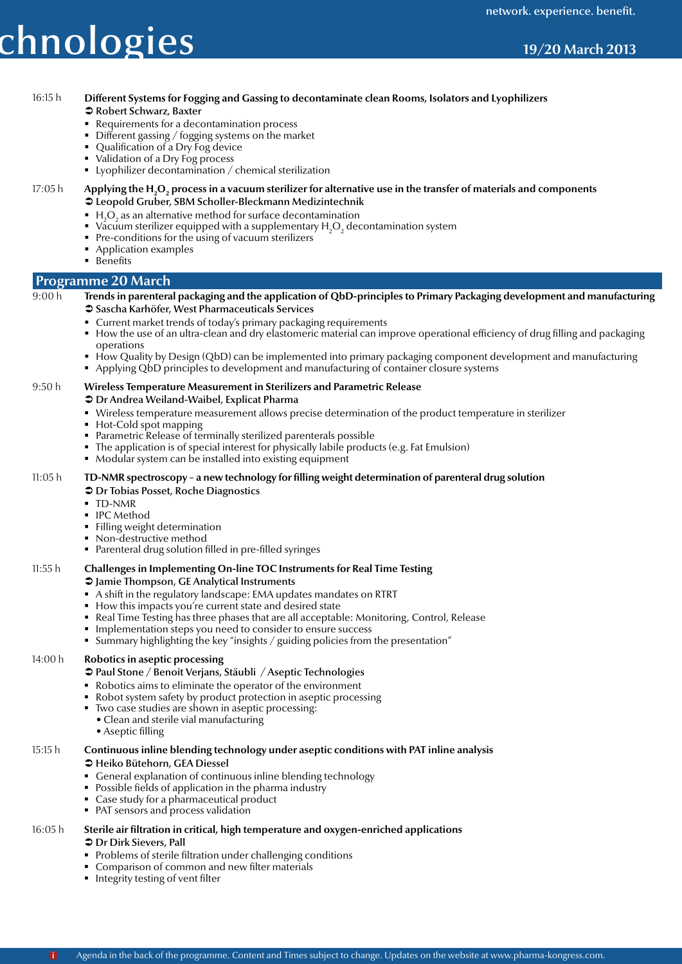# ${\sf chnologies}$   ${\sf 19/20\,March\,2013}$

## 16:15 h **Different Systems for Fogging and Gassing to decontaminate clean Rooms, Isolators and Lyophilizers**

#### Â Robert Schwarz, Baxter

- Requirements for a decontamination process
- Different gassing / fogging systems on the market
- Qualification of a Dry Fog device
- Validation of a Dry Fog process
- **EX** Lyophilizer decontamination / chemical sterilization

#### 17:05 h Applying the H<sub>2</sub>O<sub>2</sub> process in a vacuum sterilizer for alternative use in the transfer of materials and components Â Leopold Gruber, SBM Scholler-Bleckmann Medizintechnik

- $\blacksquare$  H<sub>2</sub>O<sub>2</sub> as an alternative method for surface decontamination
- Vacuum sterilizer equipped with a supplementary  $H_2O_2$  decontamination system
- Pre-conditions for the using of vacuum sterilizers
- Application examples
- **Benefits**

### **Programme 20 March**

#### 9:00 h **Trends in parenteral packaging and the application of QbD-principles to Primary Packaging development and manufacturing** Â Sascha Karhöfer, West Pharmaceuticals Services

- Current market trends of today's primary packaging requirements
- How the use of an ultra-clean and dry elastomeric material can improve operational efficiency of drug filling and packaging operations
- How Quality by Design (QbD) can be implemented into primary packaging component development and manufacturing Applying QbD principles to development and manufacturing of container closure systems

## 9:50 h **Wireless Temperature Measurement in Sterilizers and Parametric Release**

- Â Dr Andrea Weiland-Waibel, Explicat Pharma
- Wireless temperature measurement allows precise determination of the product temperature in sterilizer
- Hot-Cold spot mapping
- Parametric Release of terminally sterilized parenterals possible
- The application is of special interest for physically labile products (e.g. Fat Emulsion)
- Modular system can be installed into existing equipment

#### 11:05 h **TD-NMR spectroscopy – a new technology for filling weight determination of parenteral drug solution**

#### Â Dr Tobias Posset, Roche Diagnostics

- **TD-NMR**
- **IPC** Method
- **Filling weight determination**
- Non-destructive method
- Parenteral drug solution filled in pre-filled syringes

#### 11:55 h **Challenges in Implementing On-line TOC Instruments for Real Time Testing**

Â Jamie Thompson, GE Analytical Instruments

- A shift in the regulatory landscape: EMA updates mandates on RTRT
- How this impacts you're current state and desired state
- Real Time Testing has three phases that are all acceptable: Monitoring, Control, Release
- Implementation steps you need to consider to ensure success
- Summary highlighting the key "insights / guiding policies from the presentation"

### 14:00 h **Robotics in aseptic processing**

### Â Paul Stone / Benoit Verjans, Stäubli / Aseptic Technologies

- Robotics aims to eliminate the operator of the environment
- Robot system safety by product protection in aseptic processing
- Two case studies are shown in aseptic processing:
- Clean and sterile vial manufacturing
	- Aseptic filling

#### 15:15 h **Continuous inline blending technology under aseptic conditions with PAT inline analysis** Â Heiko Bütehorn, GEA Diessel

- General explanation of continuous inline blending technology
- **Possible fields of application in the pharma industry**
- Case study for a pharmaceutical product
- PAT sensors and process validation

## 16:05 h **Sterile air filtration in critical, high temperature and oxygen-enriched applications**

## **● Dr Dirk Sievers, Pall**

- **Problems of sterile filtration under challenging conditions**
- Comparison of common and new filter materials
- Integrity testing of vent filter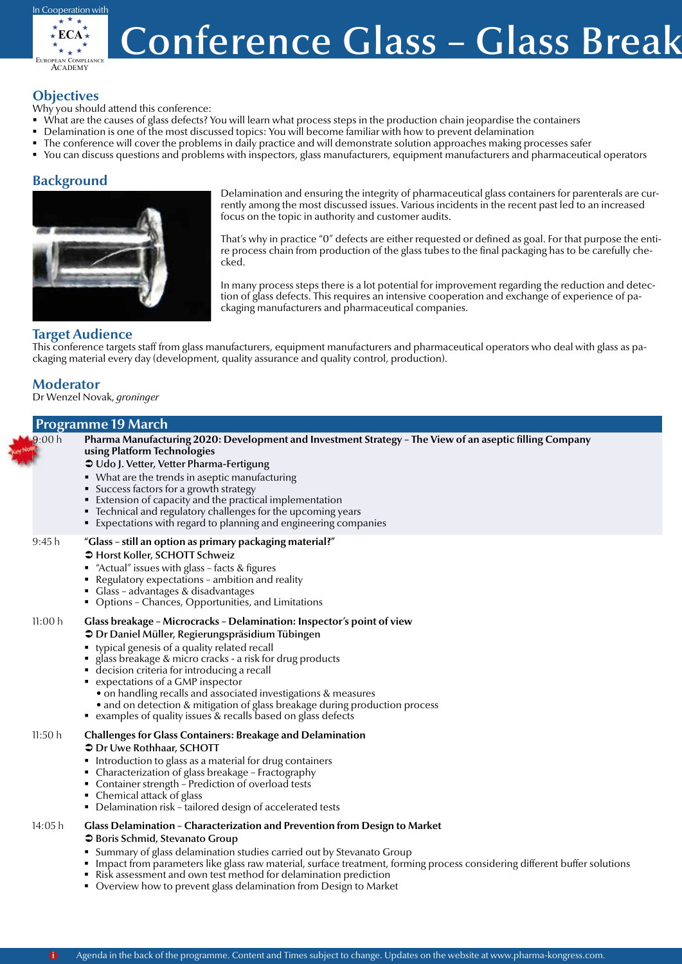

## **Conference Glass – Glass Break**

## **Objectives**

Why you should attend this conference:

- What are the causes of glass defects? You will learn what process steps in the production chain jeopardise the containers
- Delamination is one of the most discussed topics: You will become familiar with how to prevent delamination
- The conference will cover the problems in daily practice and will demonstrate solution approaches making processes safer
- You can discuss questions and problems with inspectors, glass manufacturers, equipment manufacturers and pharmaceutical operators

## **Background**



Delamination and ensuring the integrity of pharmaceutical glass containers for parenterals are currently among the most discussed issues. Various incidents in the recent past led to an increased focus on the topic in authority and customer audits.

That's why in practice "0" defects are either requested or defined as goal. For that purpose the entire process chain from production of the glass tubes to the final packaging has to be carefully checked.

In many process steps there is a lot potential for improvement regarding the reduction and detection of glass defects. This requires an intensive cooperation and exchange of experience of packaging manufacturers and pharmaceutical companies.

## **Target Audience**

This conference targets staff from glass manufacturers, equipment manufacturers and pharmaceutical operators who deal with glass as packaging material every day (development, quality assurance and quality control, production).

## **Moderator**

Dr Wenzel Novak, *groninger*

## **Programme 19 March**

Pharma Manufacturing 2020: Development and Investment Strategy - The View of an aseptic filling Company **using Platform Technologies** Â Udo J. Vetter, Vetter Pharma-Fertigung • What are the trends in aseptic manufacturing **Success factors for a growth strategy**  Extension of capacity and the practical implementation Technical and regulatory challenges for the upcoming years Expectations with regard to planning and engineering companies 9:45 h **"Glass – still an option as primary packaging material?"**   $\bullet$  Horst Koller, SCHOTT Schweiz  $*$  "Actual" issues with glass - facts & figures Regulatory expectations – ambition and reality Glass – advantages & disadvantages Options – Chances, Opportunities, and Limitations 11:00 h **Glass breakage – Microcracks – Delamination: Inspector's point of view**  $\supset$  Dr Daniel Müller, Regierungspräsidium Tübingen typical genesis of a quality related recall glass breakage & micro cracks - a risk for drug products decision criteria for introducing a recall expectations of a GMP inspector • on handling recalls and associated investigations & measures • and on detection & mitigation of glass breakage during production process examples of quality issues  $\&$  recalls based on glass defects 11:50 h **Challenges for Glass Containers: Breakage and Delamination**  $\bullet$  Dr Uwe Rothhaar, SCHOTT Introduction to glass as a material for drug containers Characterization of glass breakage – Fractography Container strength – Prediction of overload tests Chemical attack of glass Delamination risk – tailored design of accelerated tests 14:05 h **Glass Delamination – Characterization and Prevention from Design to Market**  $\supset$  Boris Schmid, Stevanato Group Summary of glass delamination studies carried out by Stevanato Group **IMPACE 15 Impact from parameters like glass raw material, surface treatment, forming process considering different buffer solutions**  Risk assessment and own test method for delamination prediction  $9:00 h$ 

Overview how to prevent glass delamination from Design to Market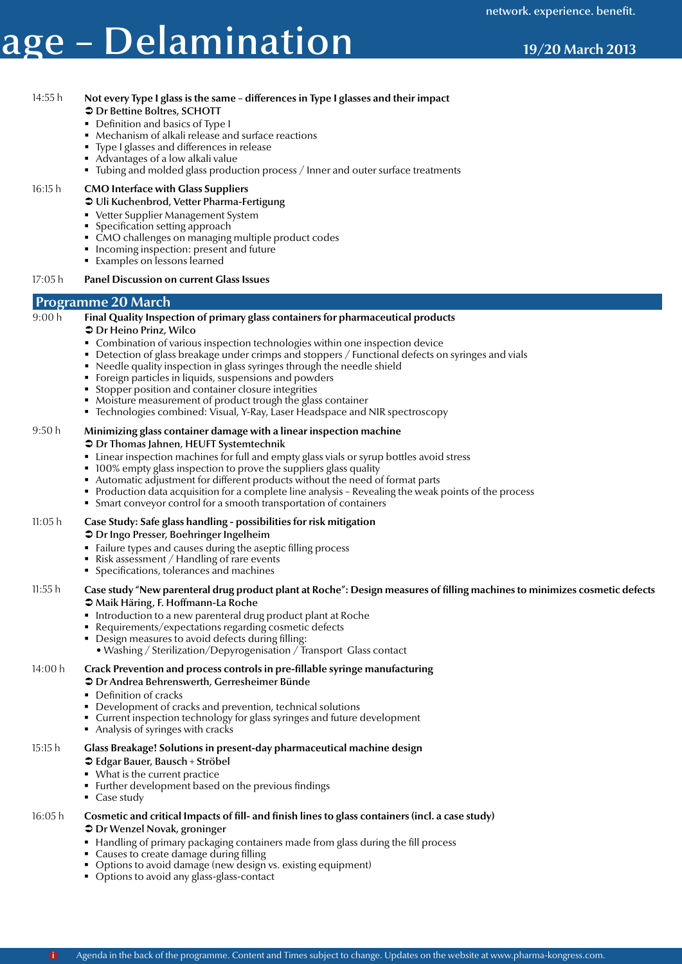## Conference Glass – Glass Breakage – Delamination **19/20 March 2013**

 $\supset$  Dr Bettine Boltres, SCHOTT **Definition and basics of Type I** 

14:55 h **Not every Type I glass is the same – differences in Type I glasses and their impact**

Mechanism of alkali release and surface reactions

## Type I glasses and differences in release Advantages of a low alkali value • Tubing and molded glass production process / Inner and outer surface treatments 16:15 h **CMO Interface with Glass Suppliers**  $\supset$  Uli Kuchenbrod, Vetter Pharma-Fertigung ■ Vetter Supplier Management System Specification setting approach CMO challenges on managing multiple product codes Incoming inspection: present and future **Examples on lessons learned** 17:05 h **Panel Discussion on current Glass Issues Programme 20 March** 9:00 h **Final Quality Inspection of primary glass containers for pharmaceutical products**  $\bullet$  Dr Heino Prinz, Wilco Combination of various inspection technologies within one inspection device **Detection of glass breakage under crimps and stoppers / Functional defects on syringes and vials**  Needle quality inspection in glass syringes through the needle shield Foreign particles in liquids, suspensions and powders Stopper position and container closure integrities Moisture measurement of product trough the glass container ■ Technologies combined: Visual, Y-Ray, Laser Headspace and NIR spectroscopy 9:50 h **Minimizing glass container damage with a linear inspection machine** Â Dr Thomas Jahnen, HEUFT Systemtechnik Linear inspection machines for full and empty glass vials or syrup bottles avoid stress **100% empty glass inspection to prove the suppliers glass quality**  Automatic adjustment for different products without the need of format parts Production data acquisition for a complete line analysis – Revealing the weak points of the process Smart conveyor control for a smooth transportation of containers 11:05 h **Case Study: Safe glass handling - possibilities for risk mitigation**  $\supset$  Dr Ingo Presser, Boehringer Ingelheim Failure types and causes during the aseptic filling process Risk assessment / Handling of rare events Specifications, tolerances and machines 11:55 h **Case study "New parenteral drug product plant at Roche": Design measures of filling machines to minimizes cosmetic defects** Â Maik Häring, F. Hoffmann-La Roche **Introduction to a new parenteral drug product plant at Roche**  Requirements/expectations regarding cosmetic defects Design measures to avoid defects during filling: • Washing / Sterilization/Depyrogenisation / Transport Glass contact 14:00 h **Crack Prevention and process controls in pre-fillable syringe manufacturing** Â Dr Andrea Behrenswerth, Gerresheimer Bünde • Definition of cracks Development of cracks and prevention, technical solutions Current inspection technology for glass syringes and future development ■ Analysis of syringes with cracks

- 15:15 h **Glass Breakage! Solutions in present-day pharmaceutical machine design** Â Edgar Bauer, Bausch + Ströbel
	- What is the current practice
	- Further development based on the previous findings
	- Case study
- 16:05 h **Cosmetic and critical Impacts of fill- and finish lines to glass containers (incl. a case study)**
	- $\supset$  Dr Wenzel Novak, groninger
	- Handling of primary packaging containers made from glass during the fill process
	- Causes to create damage during filling
	- **•** Options to avoid damage (new design vs. existing equipment)
	- Options to avoid any glass-glass-contact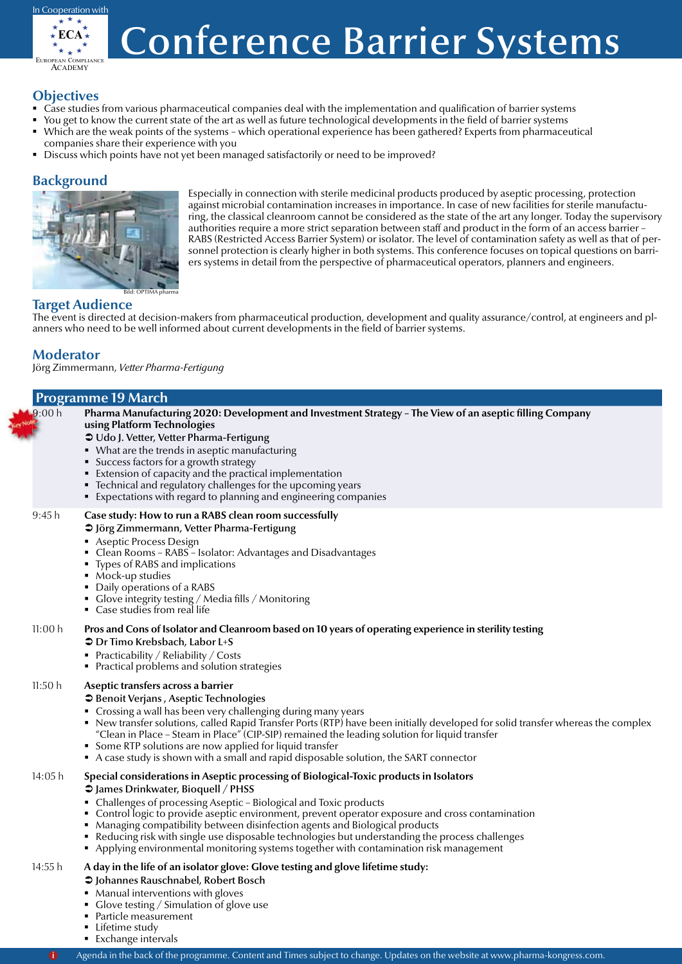

## **Conference Barrier Systems**

## **Objectives**

- Case studies from various pharmaceutical companies deal with the implementation and qualification of barrier systems
- You get to know the current state of the art as well as future technological developments in the field of barrier systems
- Which are the weak points of the systems which operational experience has been gathered? Experts from pharmaceutical companies share their experience with you
- Discuss which points have not yet been managed satisfactorily or need to be improved?

## **Background**



Especially in connection with sterile medicinal products produced by aseptic processing, protection against microbial contamination increases in importance. In case of new facilities for sterile manufacturing, the classical cleanroom cannot be considered as the state of the art any longer. Today the supervisory authorities require a more strict separation between staff and product in the form of an access barrier – RABS (Restricted Access Barrier System) or isolator. The level of contamination safety as well as that of personnel protection is clearly higher in both systems. This conference focuses on topical questions on barriers systems in detail from the perspective of pharmaceutical operators, planners and engineers.

## **Target Audience**

The event is directed at decision-makers from pharmaceutical production, development and quality assurance/control, at engineers and planners who need to be well informed about current developments in the field of barrier systems.

## **Moderator**

Jörg Zimmermann, *Vetter Pharma-Fertigung*

|         | <b>Programme 19 March</b>                                                                                                                                                                                                                                                                                                                                                                                                                                                                                                                                                                  |
|---------|--------------------------------------------------------------------------------------------------------------------------------------------------------------------------------------------------------------------------------------------------------------------------------------------------------------------------------------------------------------------------------------------------------------------------------------------------------------------------------------------------------------------------------------------------------------------------------------------|
| 9:00 h  | Pharma Manufacturing 2020: Development and Investment Strategy - The View of an aseptic filling Company<br>using Platform Technologies<br>→ Udo J. Vetter, Vetter Pharma-Fertigung<br>• What are the trends in aseptic manufacturing<br>• Success factors for a growth strategy<br>Extension of capacity and the practical implementation<br>• Technical and regulatory challenges for the upcoming years<br>■ Expectations with regard to planning and engineering companies                                                                                                              |
| 9:45 h  | Case study: How to run a RABS clean room successfully<br>→ Jörg Zimmermann, Vetter Pharma-Fertigung<br>Aseptic Process Design<br>• Clean Rooms - RABS - Isolator: Advantages and Disadvantages<br>• Types of RABS and implications<br>• Mock-up studies<br>• Daily operations of a RABS<br>• Glove integrity testing / Media fills / Monitoring<br>• Case studies from real life                                                                                                                                                                                                           |
| 11:00 h | Pros and Cons of Isolator and Cleanroom based on 10 years of operating experience in sterility testing<br><b>●</b> Dr Timo Krebsbach, Labor L+S<br>Practicability / Reliability / Costs<br>• Practical problems and solution strategies                                                                                                                                                                                                                                                                                                                                                    |
| 11:50 h | Aseptic transfers across a barrier<br>S Benoit Verjans, Aseptic Technologies<br>• Crossing a wall has been very challenging during many years<br>• New transfer solutions, called Rapid Transfer Ports (RTP) have been initially developed for solid transfer whereas the complex<br>"Clean in Place - Steam in Place" (CIP-SIP) remained the leading solution for liquid transfer<br>• Some RTP solutions are now applied for liquid transfer<br>A case study is shown with a small and rapid disposable solution, the SART connector                                                     |
| 14:05 h | Special considerations in Aseptic processing of Biological-Toxic products in Isolators<br><b>● James Drinkwater, Bioquell / PHSS</b><br>• Challenges of processing Aseptic - Biological and Toxic products<br>• Control logic to provide aseptic environment, prevent operator exposure and cross contamination<br>Managing compatibility between disinfection agents and Biological products<br>• Reducing risk with single use disposable technologies but understanding the process challenges<br>Applying environmental monitoring systems together with contamination risk management |
| 14:55 h | A day in the life of an isolator glove: Glove testing and glove lifetime study:<br>S Johannes Rauschnabel, Robert Bosch<br>• Manual interventions with gloves<br>• Glove testing / Simulation of glove use                                                                                                                                                                                                                                                                                                                                                                                 |

- **Particle measurement**
- **Lifetime study**
- **Exchange intervals**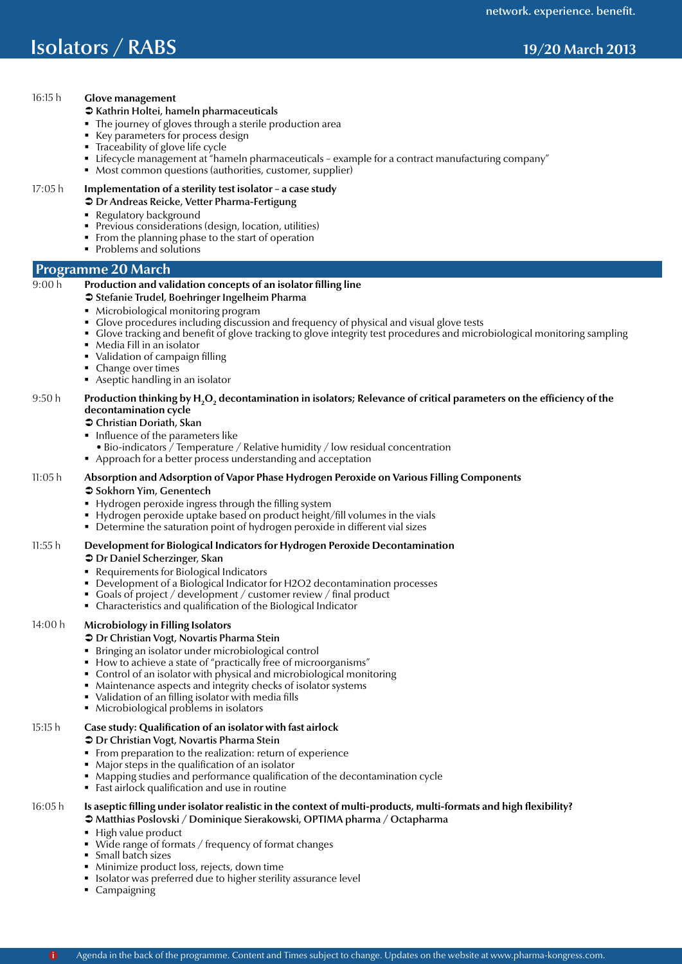## **Conference Barrier Systems Isolators / RABS** 19/20 March 2013

## 16:15 h **Glove management**

## $\bullet$  Kathrin Holtei, hameln pharmaceuticals

- The journey of gloves through a sterile production area
- Key parameters for process design
- Traceability of glove life cycle
- Lifecycle management at "hameln pharmaceuticals example for a contract manufacturing company"
- **Most common questions (authorities, customer, supplier)**

## 17:05 h **Implementation of a sterility test isolator – a case study**

- $\supset$  Dr Andreas Reicke, Vetter Pharma-Fertigung
- Regulatory background
- Previous considerations (design, location, utilities)
- From the planning phase to the start of operation
- Problems and solutions

## **Programme 20 March**

## 9:00 h **Production and validation concepts of an isolator filling line**

## Â Stefanie Trudel, Boehringer Ingelheim Pharma

- Microbiological monitoring program
- Glove procedures including discussion and frequency of physical and visual glove tests
- Glove tracking and benefit of glove tracking to glove integrity test procedures and microbiological monitoring sampling
- Media Fill in an isolator
- Validation of campaign filling
- Change over times
- Aseptic handling in an isolator

## 9:50 h **Production thinking by H2 O2 decontamination in isolators; Relevance of critical parameters on the efficiency of the decontamination cycle**

#### Â Christian Doriath, Skan

- Influence of the parameters like
	- Bio-indicators / Temperature / Relative humidity / low residual concentration
- Approach for a better process understanding and acceptation

### 11:05 h **Absorption and Adsorption of Vapor Phase Hydrogen Peroxide on Various Filling Components**

#### **€** Sokhorn Yim, Genentech

- **Hydrogen peroxide ingress through the filling system**
- Hydrogen peroxide uptake based on product height/fill volumes in the vials
- Determine the saturation point of hydrogen peroxide in different vial sizes

#### 11:55 h **Development for Biological Indicators for Hydrogen Peroxide Decontamination**

#### $\bullet$  Dr Daniel Scherzinger, Skan

- Requirements for Biological Indicators
- Development of a Biological Indicator for H2O2 decontamination processes
- Goals of project / development / customer review / final product
- Characteristics and qualification of the Biological Indicator

#### 14:00 h **Microbiology in Filling Isolators**

#### Â Dr Christian Vogt, Novartis Pharma Stein

- Bringing an isolator under microbiological control
- How to achieve a state of "practically free of microorganisms"
- Control of an isolator with physical and microbiological monitoring
- Maintenance aspects and integrity checks of isolator systems
- Validation of an filling isolator with media fills
- **Microbiological problems in isolators**

## 15:15 h **Case study: Qualification of an isolator with fast airlock**

#### $\bullet$  Dr Christian Vogt, Novartis Pharma Stein

- From preparation to the realization: return of experience
- Major steps in the qualification of an isolator
- Mapping studies and performance qualification of the decontamination cycle
- Fast airlock qualification and use in routine

### 16:05 h **Is aseptic filling under isolator realistic in the context of multi-products, multi-formats and high flexibility?** Â Matthias Poslovski / Dominique Sierakowski, OPTIMA pharma / Octapharma

- High value product
- Wide range of formats / frequency of format changes
- **Small batch sizes**
- **Minimize product loss, rejects, down time**
- $\;\blacksquare\;$  Isolator was preferred due to higher sterility assurance level
- Campaigning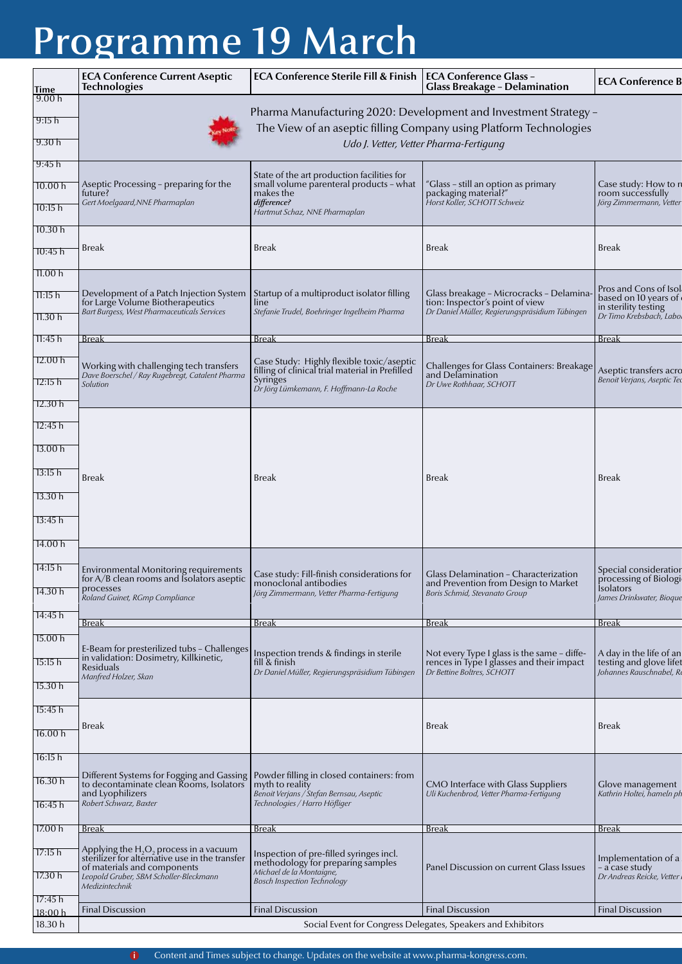# Programme 19 March

|                      | <b>ECA Conference Current Aseptic</b><br><b>Technologies</b>                                                            | <b>ECA Conference Sterile Fill &amp; Finish</b>                                                          | <b>ECA Conference Glass -</b><br><b>Glass Breakage - Delamination</b>                       | <b>ECA Conference B</b>                                               |  |  |
|----------------------|-------------------------------------------------------------------------------------------------------------------------|----------------------------------------------------------------------------------------------------------|---------------------------------------------------------------------------------------------|-----------------------------------------------------------------------|--|--|
| <b>Time</b><br>9.00h |                                                                                                                         |                                                                                                          |                                                                                             |                                                                       |  |  |
| 9:15 h               |                                                                                                                         |                                                                                                          | Pharma Manufacturing 2020: Development and Investment Strategy -                            |                                                                       |  |  |
|                      |                                                                                                                         |                                                                                                          | The View of an aseptic filling Company using Platform Technologies                          |                                                                       |  |  |
| 9.30 h<br>9:45h      |                                                                                                                         | Udo J. Vetter, Vetter Pharma-Fertigung                                                                   |                                                                                             |                                                                       |  |  |
|                      |                                                                                                                         | State of the art production facilities for                                                               |                                                                                             |                                                                       |  |  |
| 10.00 h<br>10:15 h   | Aseptic Processing - preparing for the<br>future?<br>Gert Moelgaard, NNE Pharmaplan                                     | small volume parenteral products - what<br>makes the<br>difference?                                      | 'Glass - still an option as primary<br>packaging material?"<br>Horst Koller, SCHOTT Schweiz | Case study: How to re<br>room successfully<br>Jörg Zimmermann, Vetter |  |  |
| 10.30h               |                                                                                                                         | Hartmut Schaz, NNE Pharmaplan                                                                            |                                                                                             |                                                                       |  |  |
| 10:45 h              | Break                                                                                                                   | <b>Break</b>                                                                                             | <b>Break</b>                                                                                | <b>Break</b>                                                          |  |  |
| 11.00 h              |                                                                                                                         |                                                                                                          |                                                                                             |                                                                       |  |  |
| 11:15 h              | Development of a Patch Injection System<br>for Large Volume Biotherapeutics                                             | Startup of a multiproduct isolator filling<br>line                                                       | Glass breakage - Microcracks - Delamina-<br>tion: Inspector's point of view                 | Pros and Cons of Isol<br>based on 10 years of<br>in sterility testing |  |  |
| 11.30h               | Bart Burgess, West Pharmaceuticals Services                                                                             | Stefanie Trudel, Boehringer Ingelheim Pharma                                                             | Dr Daniel Müller, Regierungspräsidium Tübingen                                              | Dr Timo Krebsbach, Labol                                              |  |  |
| 11:45 h              | <b>Break</b>                                                                                                            | <b>Break</b>                                                                                             | <b>Break</b>                                                                                | <b>Break</b>                                                          |  |  |
| 12.00 h              |                                                                                                                         | Case Study: Highly flexible toxic/aseptic                                                                |                                                                                             |                                                                       |  |  |
| 12:15 h              | Working with challenging tech transfers<br>Dave Boerschel / Ray Rugebregt, Catalent Pharma<br>Solution                  | filling of clinical trial material in Prefilled<br>Syringes<br>Dr Jörg Lümkemann, F. Hoffmann-La Roche   | Challenges for Glass Containers: Breakage<br>and Delamination<br>Dr Uwe Rothhaar, SCHOTT    | Aseptic transfers acro<br>Benoit Verjans, Aseptic Ted                 |  |  |
| 12.30h               |                                                                                                                         |                                                                                                          |                                                                                             |                                                                       |  |  |
| 12:45 h              |                                                                                                                         |                                                                                                          |                                                                                             |                                                                       |  |  |
| 13.00 <sub>h</sub>   |                                                                                                                         |                                                                                                          |                                                                                             |                                                                       |  |  |
| 13:15 h              | <b>Break</b>                                                                                                            | <b>Break</b>                                                                                             | <b>Break</b>                                                                                | <b>Break</b>                                                          |  |  |
| 13.30 h              |                                                                                                                         |                                                                                                          |                                                                                             |                                                                       |  |  |
| 13:45 h              |                                                                                                                         |                                                                                                          |                                                                                             |                                                                       |  |  |
| 14.00 h              |                                                                                                                         |                                                                                                          |                                                                                             |                                                                       |  |  |
| 14:15 h              | Environmental Monitoring requirements<br>for $A/B$ clean rooms and Isolators aseptic                                    | Case study: Fill-finish considerations for                                                               | Glass Delamination – Characterization                                                       | Special consideration<br>processing of Biologi                        |  |  |
| 14.30 h              | processes<br>Roland Guinet, RGmp Compliance                                                                             | monoclonal antibodies<br>Jörg Zimmermann, Vetter Pharma-Fertigung                                        | and Prevention from Design to Market<br>Boris Schmid, Stevanato Group                       | <b>isolators</b><br>James Drinkwater, Bioque                          |  |  |
| 14:45 h              | <u>Break</u>                                                                                                            | <b>Break</b>                                                                                             | <b>Break</b>                                                                                | <b>Break</b>                                                          |  |  |
| 15.00 h              |                                                                                                                         |                                                                                                          |                                                                                             |                                                                       |  |  |
| 15:15 h              | E-Beam for presterilized tubs - Challenges<br>in validation: Dosimetry, Killkinetic,<br>Residuals                       | Inspection trends & findings in sterile<br>fill & finish                                                 | Not every Type I glass is the same - diffe-<br>rences in Type I glasses and their impact    | A day in the life of an<br>testing and glove lifet                    |  |  |
| 15.30h               | Manfred Holzer, Skan                                                                                                    | Dr Daniel Müller, Regierungspräsidium Tübingen                                                           | Dr Bettine Boltres, SCHOTT                                                                  | Johannes Rauschnabel, Re                                              |  |  |
| 15:45 h              |                                                                                                                         |                                                                                                          |                                                                                             |                                                                       |  |  |
| 16.00 h              | Break                                                                                                                   |                                                                                                          | <b>Break</b>                                                                                | <b>Break</b>                                                          |  |  |
| 16:15 h              |                                                                                                                         |                                                                                                          |                                                                                             |                                                                       |  |  |
|                      | Different Systems for Fogging and Gassing   Powder filling in closed containers: from                                   |                                                                                                          |                                                                                             |                                                                       |  |  |
| 16.30 h<br>16:45 h   | to decontaminate clean Rooms, Isolators<br>and Lyophilizers<br>Robert Schwarz, Baxter                                   | myth to reality<br>Benoit Verjans / Stefan Bernsau, Aseptic<br>Technologies / Harro Höfliger             | CMO Interface with Glass Suppliers<br>Uli Kuchenbrod, Vetter Pharma-Fertigung               | Glove management<br>Kathrin Holtei, hameln ph                         |  |  |
| 17.00h               | <u>Break</u>                                                                                                            | <b>Break</b>                                                                                             | <b>Break</b>                                                                                | <b>Break</b>                                                          |  |  |
|                      | Applying the $H_2O_2$ process in a vacuum                                                                               |                                                                                                          |                                                                                             |                                                                       |  |  |
| 17:15 h<br>17.30h    | sterilizer for alternative use in the transfer<br>of materials and components<br>Leopold Gruber, SBM Scholler-Bleckmann | Inspection of pre-filled syringes incl.<br>methodology for preparing samples<br>Michael de la Montaigne, | Panel Discussion on current Glass Issues                                                    | Implementation of a<br>– a case study<br>Dr Andreas Reicke, Vetter    |  |  |
|                      | Medizintechnik                                                                                                          | <b>Bosch Inspection Technology</b>                                                                       |                                                                                             |                                                                       |  |  |
| 17:45 h<br>18:00 h   | <b>Final Discussion</b>                                                                                                 | <b>Final Discussion</b>                                                                                  | <b>Final Discussion</b>                                                                     | <b>Final Discussion</b>                                               |  |  |
| 18.30 h              | Social Event for Congress Delegates, Speakers and Exhibitors                                                            |                                                                                                          |                                                                                             |                                                                       |  |  |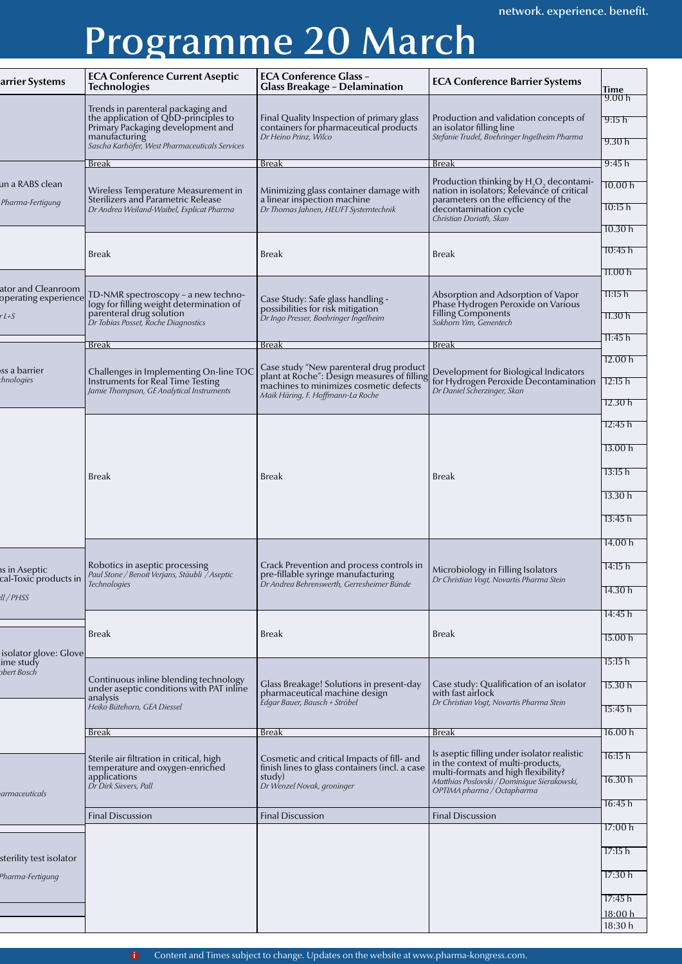## Programme 20 March

| arrier Systems                                        | <b>ECA Conference Current Aseptic</b><br><b>Technologies</b>                                                                                                                       | <b>ECA Conference Glass -</b><br><b>Glass Breakage - Delamination</b>                                                                                                 | <b>ECA Conference Barrier Systems</b>                                                                                                                                                                    | Time                                                          |
|-------------------------------------------------------|------------------------------------------------------------------------------------------------------------------------------------------------------------------------------------|-----------------------------------------------------------------------------------------------------------------------------------------------------------------------|----------------------------------------------------------------------------------------------------------------------------------------------------------------------------------------------------------|---------------------------------------------------------------|
|                                                       | Trends in parenteral packaging and<br>the application of QbD-principles to<br>Primary Packaging development and<br>manufacturing<br>Sascha Karhöfer, West Pharmaceuticals Services | Final Quality Inspection of primary glass<br>containers for pharmaceutical products<br>Dr Heino Prinz, Wilco                                                          | Production and validation concepts of<br>an isolator filling line<br>Stefanie Trudel, Boehringer Ingelheim Pharma                                                                                        | 9.00h<br>9:15 h<br>9.30h                                      |
|                                                       | <u>Break</u>                                                                                                                                                                       | Break                                                                                                                                                                 | Break                                                                                                                                                                                                    | 9:45h                                                         |
| un a RABS clean<br>Pharma-Fertigung                   | Wireless Temperature Measurement in<br>Sterilizers and Parametric Release<br>Dr Andrea Weiland-Waibel, Explicat Pharma                                                             | Minimizing glass container damage with<br>a linear inspection machine<br>Dr Thomas Jahnen, HEUFT Systemtechnik                                                        | Production thinking by H <sub>2</sub> O <sub>2</sub> decontami-<br>nation in isolators; Relevance of critical<br>parameters on the efficiency of the<br>decontamination cycle<br>Christian Doriath, Skan | 10.00h<br>10:15 h<br>10.30h                                   |
|                                                       | <b>Break</b>                                                                                                                                                                       | <b>Break</b>                                                                                                                                                          | <b>Break</b>                                                                                                                                                                                             | 10:45 h<br>11.00h                                             |
| ator and Cleanroom<br>operating experience<br>$r$ L+S | TD-NMR spectroscopy - a new techno-<br>logy for filling weight determination of<br>parenteral drug solution<br>Dr Tobias Posset, Roche Diagnostics                                 | Case Study: Safe glass handling -<br>possibilities for risk mitigation`<br>Dr Ingo Presser, Boehringer Ingelheim                                                      | Absorption and Adsorption of Vapor<br>Phase Hydrogen Peroxide on Various<br>Filling Components<br>Sokhorn Yim, Genentech                                                                                 | 11:15h<br>11.30h                                              |
|                                                       | <b>Break</b>                                                                                                                                                                       | <b>Break</b>                                                                                                                                                          | <b>Break</b>                                                                                                                                                                                             | 11:45 h                                                       |
| ss a barrier<br>chnologies                            | Challenges in Implementing On-line TOC<br>Instruments for Real Time Testing<br>Jamie Thompson, GE Analytical Instruments                                                           | Case study "New parenteral drug product<br>plant at Roche": Design measures of filling<br>machines to minimizes cosmetic defects<br>Maik Häring, F. Hoffmann-La Roche | Development for Biological Indicators<br>for Hydrogen Peroxide Decontamination<br>Dr Daniel Scherzinger, Skan                                                                                            | 12.00 h<br>12:15 h<br>12.30 h                                 |
|                                                       | <b>Break</b>                                                                                                                                                                       | <b>Break</b>                                                                                                                                                          | <b>Break</b>                                                                                                                                                                                             | 12:45 h<br>13.00 h<br>13:15 h<br>13.30h<br>13:45 h<br>14.00 h |
| าร in Aseptic<br>II / PHSS                            | Robotics in aseptic processing<br>cal-Toxic products in <i>Paul Stone / Benoit Verjans, Stäubli / Aseptic</i><br>Technologies                                                      | Crack Prevention and process controls in<br>pre-fillable syringe manufacturing<br>Dr Andrea Behrenswerth, Gerresheimer Bünde                                          | Microbiology in Filling Isolators<br>Dr Christian Vogt, Novartis Pharma Stein                                                                                                                            | 14:15 h<br>14.30h                                             |
| isolator glove: Glove                                 | Break                                                                                                                                                                              | <b>Break</b>                                                                                                                                                          | <b>Break</b>                                                                                                                                                                                             | 14:45 h<br>15.00 h                                            |
| ime study<br>bert Bosch                               | Continuous inline blending technology<br>under aseptic conditions with PAT inline<br>analysis<br>Heiko Bütehorn, GEA Diessel                                                       | Glass Breakage! Solutions in present-day<br>pharmaceutical machine design<br>Edgar Bauer, Bausch + Ströbel                                                            | Case study: Qualification of an isolator<br>with fast airlock<br>Dr Christian Voqt, Novartis Pharma Stein                                                                                                | 15:15 h<br>15.30h<br>15:45 h                                  |
|                                                       | <b>Break</b>                                                                                                                                                                       | <u>Break</u>                                                                                                                                                          | <b>Break</b>                                                                                                                                                                                             | 16.00h                                                        |
| armaceuticals                                         | Sterile air filtration in critical, high<br>temperature and oxygen-enriched<br>applications<br>Dr Dirk Sievers, Pall                                                               | Cosmetic and critical Impacts of fill- and<br>finish lines to glass containers (incl. a case<br>study)<br>Dr Wenzel Novak, groninger                                  | Is a<br>septic filling under isolator realistic in the context of multi-products,<br>multi-formats and high flexibility?<br>Matthias Poslovski / Dominique Sierakowski,<br>OPTIMA pharma / Octapharma    | 16:15 h<br>16.30h<br>16:45 h                                  |
|                                                       | <b>Final Discussion</b>                                                                                                                                                            | Final Discussion                                                                                                                                                      | <b>Final Discussion</b>                                                                                                                                                                                  |                                                               |
|                                                       |                                                                                                                                                                                    |                                                                                                                                                                       |                                                                                                                                                                                                          | 17:00 h<br>17:15 h                                            |
| sterility test isolator<br>Pharma-Fertigung           |                                                                                                                                                                                    |                                                                                                                                                                       |                                                                                                                                                                                                          | 17:30 h                                                       |
|                                                       |                                                                                                                                                                                    |                                                                                                                                                                       |                                                                                                                                                                                                          | 17:45 h<br>18:00 h<br>18:30 h                                 |